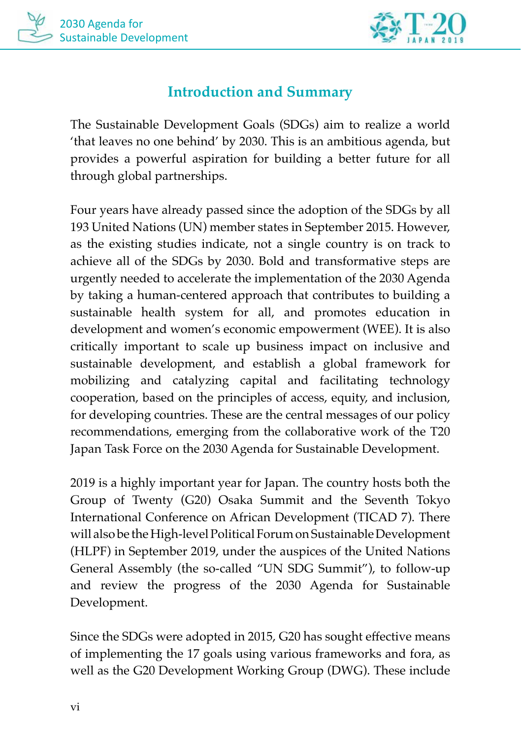

# **Introduction and Summary**

The Sustainable Development Goals (SDGs) aim to realize a world 'that leaves no one behind' by 2030. This is an ambitious agenda, but provides a powerful aspiration for building a better future for all through global partnerships.

Four years have already passed since the adoption of the SDGs by all 193 United Nations (UN) member states in September 2015. However, as the existing studies indicate, not a single country is on track to achieve all of the SDGs by 2030. Bold and transformative steps are urgently needed to accelerate the implementation of the 2030 Agenda by taking a human-centered approach that contributes to building a sustainable health system for all, and promotes education in development and women's economic empowerment (WEE). It is also critically important to scale up business impact on inclusive and sustainable development, and establish a global framework for mobilizing and catalyzing capital and facilitating technology cooperation, based on the principles of access, equity, and inclusion, for developing countries. These are the central messages of our policy recommendations, emerging from the collaborative work of the T20 Japan Task Force on the 2030 Agenda for Sustainable Development.

2019 is a highly important year for Japan. The country hosts both the Group of Twenty (G20) Osaka Summit and the Seventh Tokyo International Conference on African Development (TICAD 7). There will also be the High-level Political Forum on Sustainable Development (HLPF) in September 2019, under the auspices of the United Nations General Assembly (the so-called "UN SDG Summit"), to follow-up and review the progress of the 2030 Agenda for Sustainable Development.

Since the SDGs were adopted in 2015, G20 has sought effective means of implementing the 17 goals using various frameworks and fora, as well as the G20 Development Working Group (DWG). These include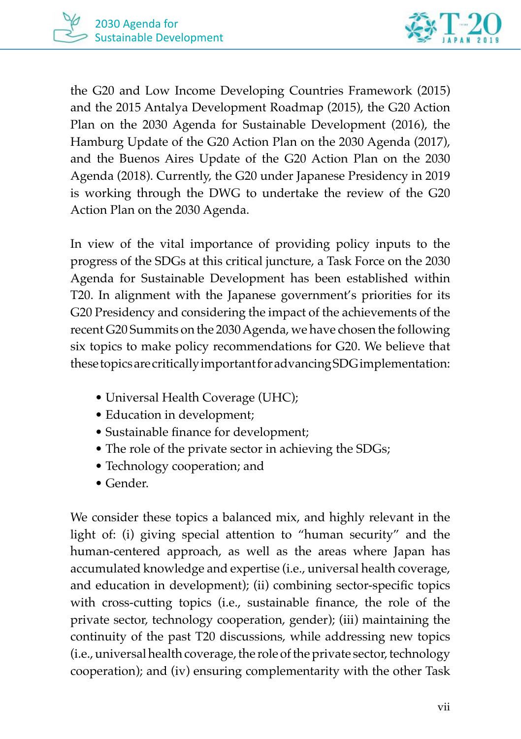



the G20 and Low Income Developing Countries Framework (2015) and the 2015 Antalya Development Roadmap (2015), the G20 Action Plan on the 2030 Agenda for Sustainable Development (2016), the Hamburg Update of the G20 Action Plan on the 2030 Agenda (2017), and the Buenos Aires Update of the G20 Action Plan on the 2030 Agenda (2018). Currently, the G20 under Japanese Presidency in 2019 is working through the DWG to undertake the review of the G20 Action Plan on the 2030 Agenda.

In view of the vital importance of providing policy inputs to the progress of the SDGs at this critical juncture, a Task Force on the 2030 Agenda for Sustainable Development has been established within T20. In alignment with the Japanese government's priorities for its G20 Presidency and considering the impact of the achievements of the recent G20 Summits on the 2030 Agenda, we have chosen the following six topics to make policy recommendations for G20. We believe that these topics are critically important for advancing SDG implementation:

- Universal Health Coverage (UHC);
- Education in development;
- Sustainable finance for development;
- The role of the private sector in achieving the SDGs;
- Technology cooperation; and
- Gender.

We consider these topics a balanced mix, and highly relevant in the light of: (i) giving special attention to "human security" and the human-centered approach, as well as the areas where Japan has accumulated knowledge and expertise (i.e., universal health coverage, and education in development); (ii) combining sector-specific topics with cross-cutting topics (i.e., sustainable finance, the role of the private sector, technology cooperation, gender); (iii) maintaining the continuity of the past T20 discussions, while addressing new topics (i.e., universal health coverage, the role of the private sector, technology cooperation); and (iv) ensuring complementarity with the other Task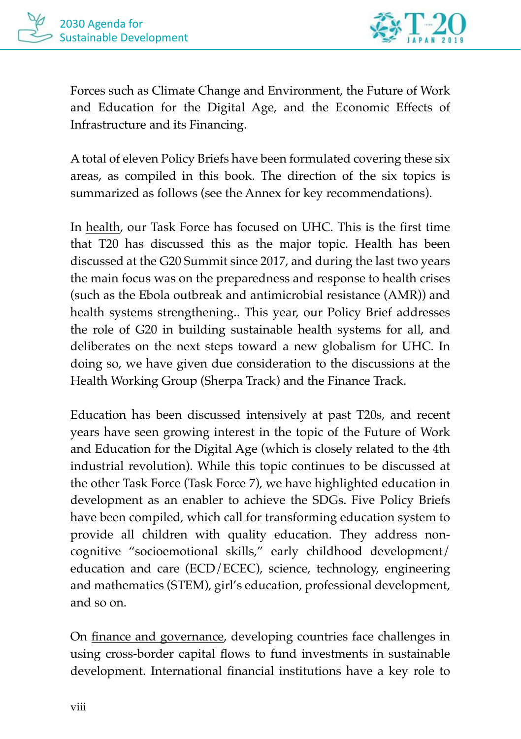

Forces such as Climate Change and Environment, the Future of Work and Education for the Digital Age, and the Economic Effects of Infrastructure and its Financing.

A total of eleven Policy Briefs have been formulated covering these six areas, as compiled in this book. The direction of the six topics is summarized as follows (see the Annex for key recommendations).

In health, our Task Force has focused on UHC. This is the first time that T20 has discussed this as the major topic. Health has been discussed at the G20 Summit since 2017, and during the last two years the main focus was on the preparedness and response to health crises (such as the Ebola outbreak and antimicrobial resistance (AMR)) and health systems strengthening.. This year, our Policy Brief addresses the role of G20 in building sustainable health systems for all, and deliberates on the next steps toward a new globalism for UHC. In doing so, we have given due consideration to the discussions at the Health Working Group (Sherpa Track) and the Finance Track.

Education has been discussed intensively at past T20s, and recent years have seen growing interest in the topic of the Future of Work and Education for the Digital Age (which is closely related to the 4th industrial revolution). While this topic continues to be discussed at the other Task Force (Task Force 7), we have highlighted education in development as an enabler to achieve the SDGs. Five Policy Briefs have been compiled, which call for transforming education system to provide all children with quality education. They address noncognitive "socioemotional skills," early childhood development/ education and care (ECD/ECEC), science, technology, engineering and mathematics (STEM), girl's education, professional development, and so on.

On finance and governance, developing countries face challenges in using cross-border capital flows to fund investments in sustainable development. International financial institutions have a key role to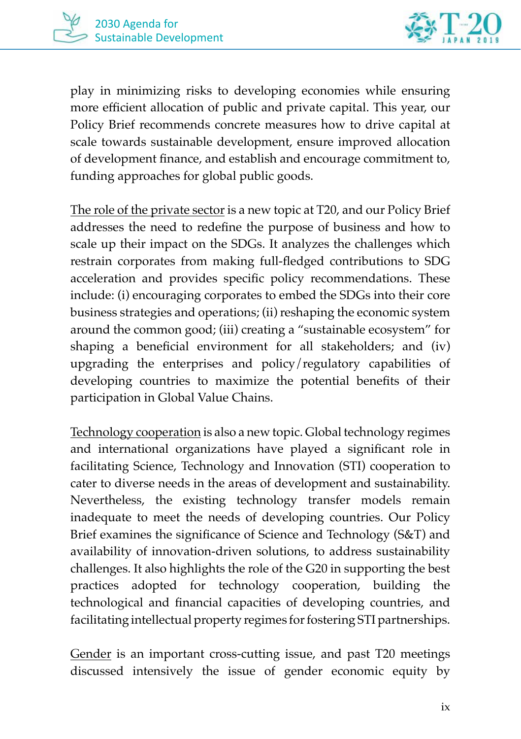

play in minimizing risks to developing economies while ensuring more efficient allocation of public and private capital. This year, our Policy Brief recommends concrete measures how to drive capital at scale towards sustainable development, ensure improved allocation of development finance, and establish and encourage commitment to, funding approaches for global public goods.

The role of the private sector is a new topic at T20, and our Policy Brief addresses the need to redefine the purpose of business and how to scale up their impact on the SDGs. It analyzes the challenges which restrain corporates from making full-fledged contributions to SDG acceleration and provides specific policy recommendations. These include: (i) encouraging corporates to embed the SDGs into their core business strategies and operations; (ii) reshaping the economic system around the common good; (iii) creating a "sustainable ecosystem" for shaping a beneficial environment for all stakeholders; and (iv) upgrading the enterprises and policy/regulatory capabilities of developing countries to maximize the potential benefits of their participation in Global Value Chains.

Technology cooperation is also a new topic. Global technology regimes and international organizations have played a significant role in facilitating Science, Technology and Innovation (STI) cooperation to cater to diverse needs in the areas of development and sustainability. Nevertheless, the existing technology transfer models remain inadequate to meet the needs of developing countries. Our Policy Brief examines the significance of Science and Technology (S&T) and availability of innovation-driven solutions, to address sustainability challenges. It also highlights the role of the G20 in supporting the best practices adopted for technology cooperation, building the technological and financial capacities of developing countries, and facilitating intellectual property regimes for fostering STI partnerships.

Gender is an important cross-cutting issue, and past T20 meetings discussed intensively the issue of gender economic equity by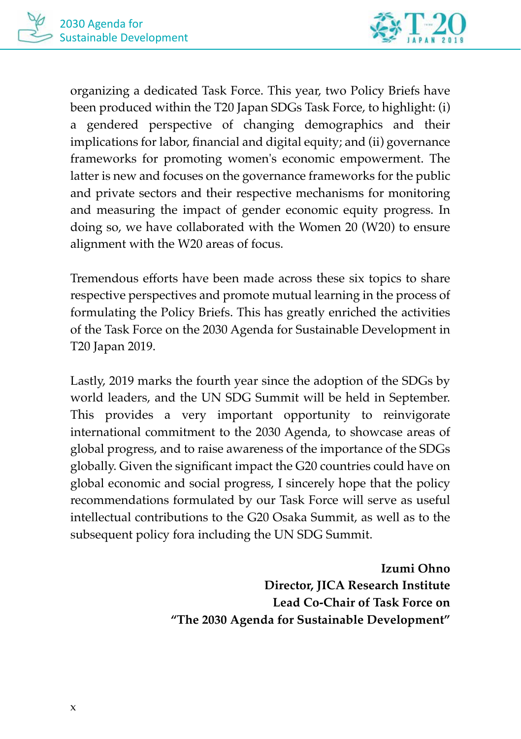

organizing a dedicated Task Force. This year, two Policy Briefs have been produced within the T20 Japan SDGs Task Force, to highlight: (i) a gendered perspective of changing demographics and their implications for labor, financial and digital equity; and (ii) governance frameworks for promoting women's economic empowerment. The latter is new and focuses on the governance frameworks for the public and private sectors and their respective mechanisms for monitoring and measuring the impact of gender economic equity progress. In doing so, we have collaborated with the Women 20 (W20) to ensure alignment with the W20 areas of focus.

Tremendous efforts have been made across these six topics to share respective perspectives and promote mutual learning in the process of formulating the Policy Briefs. This has greatly enriched the activities of the Task Force on the 2030 Agenda for Sustainable Development in T20 Japan 2019.

Lastly, 2019 marks the fourth year since the adoption of the SDGs by world leaders, and the UN SDG Summit will be held in September. This provides a very important opportunity to reinvigorate international commitment to the 2030 Agenda, to showcase areas of global progress, and to raise awareness of the importance of the SDGs globally. Given the significant impact the G20 countries could have on global economic and social progress, I sincerely hope that the policy recommendations formulated by our Task Force will serve as useful intellectual contributions to the G20 Osaka Summit, as well as to the subsequent policy fora including the UN SDG Summit.

> **Izumi Ohno Director, JICA Research Institute Lead Co-Chair of Task Force on "The 2030 Agenda for Sustainable Development"**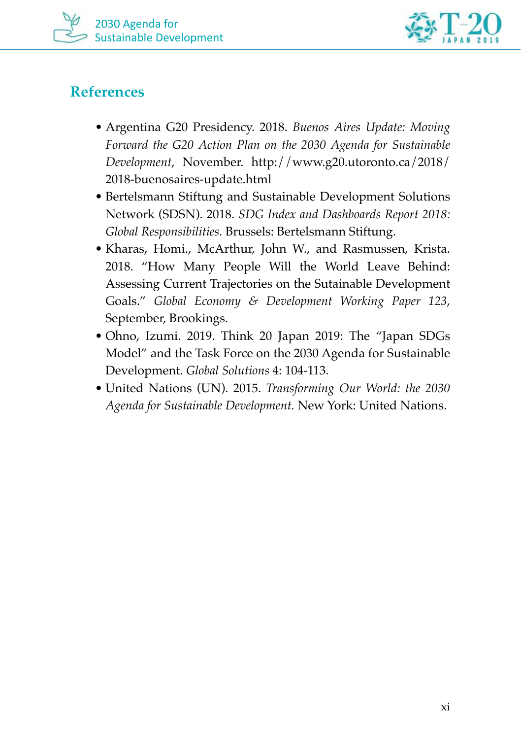



## **References**

- Argentina G20 Presidency. 2018. *Buenos Aires Update: Moving Forward the G20 Action Plan on the 2030 Agenda for Sustainable Development*, November. http://www.g20.utoronto.ca/2018/ 2018-buenosaires-update.html
- Bertelsmann Stiftung and Sustainable Development Solutions Network (SDSN). 2018. *SDG Index and Dashboards Report 2018: Global Responsibilities.* Brussels: Bertelsmann Stiftung.
- Kharas, Homi., McArthur, John W., and Rasmussen, Krista. 2018. "How Many People Will the World Leave Behind: Assessing Current Trajectories on the Sutainable Development Goals." *Global Economy & Development Working Paper 123*, September, Brookings.
- Ohno, Izumi. 2019. Think 20 Japan 2019: The "Japan SDGs Model" and the Task Force on the 2030 Agenda for Sustainable Development. *Global Solutions* 4: 104-113.
- United Nations (UN). 2015. *Transforming Our World: the 2030 Agenda for Sustainable Development.* New York: United Nations.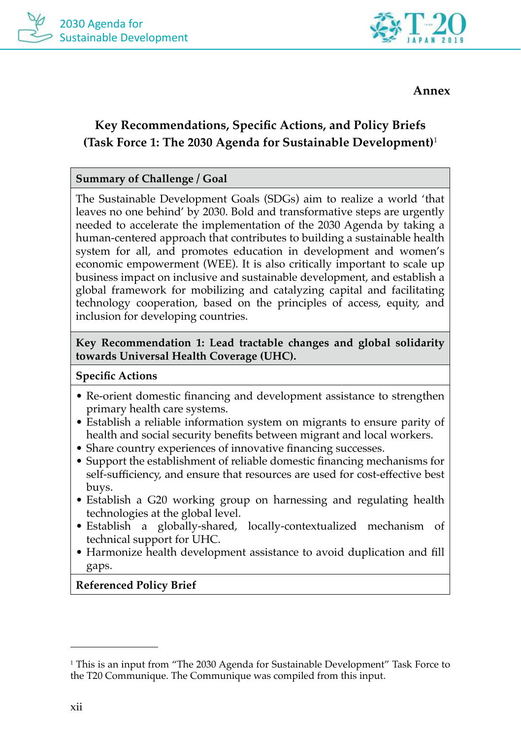



**Annex**

## **Key Recommendations, Specific Actions, and Policy Briefs (Task Force 1: The 2030 Agenda for Sustainable Development)**<sup>1</sup>

## **Summary of Challenge / Goal**

The Sustainable Development Goals (SDGs) aim to realize a world 'that leaves no one behind' by 2030. Bold and transformative steps are urgently needed to accelerate the implementation of the 2030 Agenda by taking a human-centered approach that contributes to building a sustainable health system for all, and promotes education in development and women's economic empowerment (WEE). It is also critically important to scale up business impact on inclusive and sustainable development, and establish a global framework for mobilizing and catalyzing capital and facilitating technology cooperation, based on the principles of access, equity, and inclusion for developing countries.

**Key Recommendation 1: Lead tractable changes and global solidarity towards Universal Health Coverage (UHC).**

## **Specific Actions**

- Re-orient domestic financing and development assistance to strengthen primary health care systems.
- Establish a reliable information system on migrants to ensure parity of health and social security benefits between migrant and local workers.
- Share country experiences of innovative financing successes.
- Support the establishment of reliable domestic financing mechanisms for self-sufficiency, and ensure that resources are used for cost-effective best buys.
- Establish a G20 working group on harnessing and regulating health technologies at the global level.
- Establish a globally-shared, locally-contextualized mechanism of technical support for UHC.
- Harmonize health development assistance to avoid duplication and fill gaps.

**Referenced Policy Brief**

<sup>1</sup> This is an input from "The 2030 Agenda for Sustainable Development" Task Force to the T20 Communique. The Communique was compiled from this input.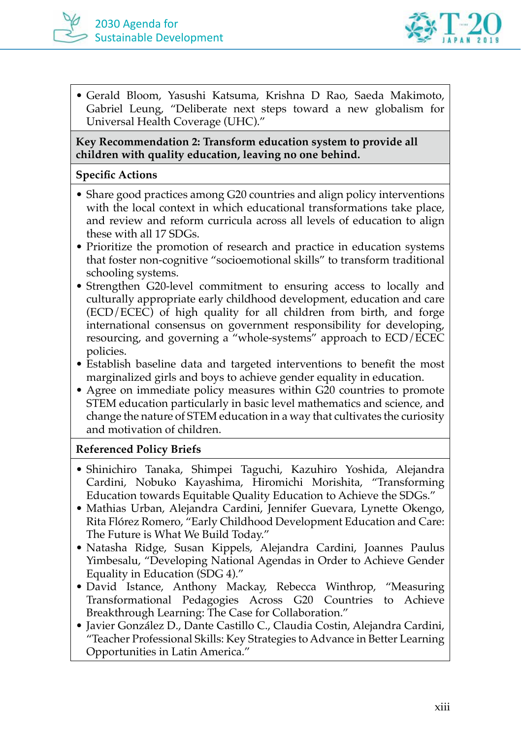



• Gerald Bloom, Yasushi Katsuma, Krishna D Rao, Saeda Makimoto, Gabriel Leung, "Deliberate next steps toward a new globalism for Universal Health Coverage (UHC)."

**Key Recommendation 2: Transform education system to provide all children with quality education, leaving no one behind.**

#### **Specific Actions**

- Share good practices among G20 countries and align policy interventions with the local context in which educational transformations take place, and review and reform curricula across all levels of education to align these with all 17 SDGs.
- Prioritize the promotion of research and practice in education systems that foster non-cognitive "socioemotional skills" to transform traditional schooling systems.
- Strengthen G20-level commitment to ensuring access to locally and culturally appropriate early childhood development, education and care (ECD/ECEC) of high quality for all children from birth, and forge international consensus on government responsibility for developing, resourcing, and governing a "whole-systems" approach to ECD/ECEC policies.
- Establish baseline data and targeted interventions to benefit the most marginalized girls and boys to achieve gender equality in education.
- Agree on immediate policy measures within G20 countries to promote STEM education particularly in basic level mathematics and science, and change the nature of STEM education in a way that cultivates the curiosity and motivation of children.

## **Referenced Policy Briefs**

- Shinichiro Tanaka, Shimpei Taguchi, Kazuhiro Yoshida, Alejandra Cardini, Nobuko Kayashima, Hiromichi Morishita, "Transforming Education towards Equitable Quality Education to Achieve the SDGs."
- Mathias Urban, Alejandra Cardini, Jennifer Guevara, Lynette Okengo, Rita Flórez Romero, "Early Childhood Development Education and Care: The Future is What We Build Today."
- Natasha Ridge, Susan Kippels, Alejandra Cardini, Joannes Paulus Yimbesalu, "Developing National Agendas in Order to Achieve Gender Equality in Education (SDG 4)."
- David Istance, Anthony Mackay, Rebecca Winthrop, "Measuring Transformational Pedagogies Across G20 Countries to Achieve Breakthrough Learning: The Case for Collaboration."
- Javier González D., Dante Castillo C., Claudia Costin, Alejandra Cardini, "Teacher Professional Skills: Key Strategies to Advance in Better Learning Opportunities in Latin America."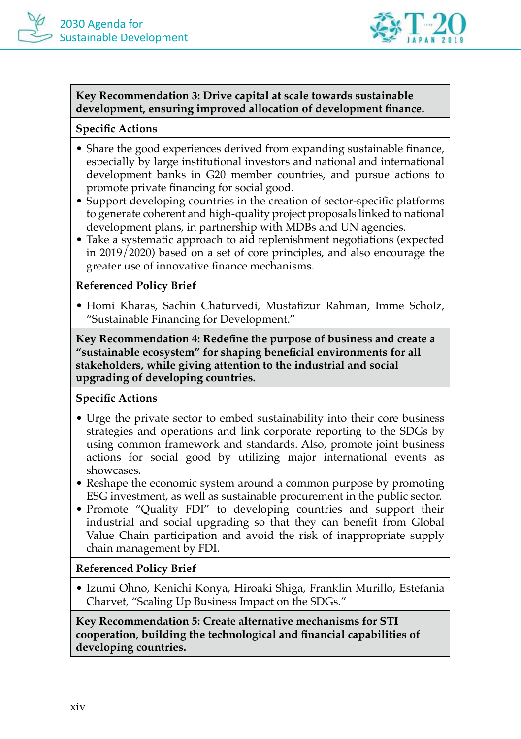

## **Key Recommendation 3: Drive capital at scale towards sustainable development, ensuring improved allocation of development finance.**

## **Specific Actions**

- Share the good experiences derived from expanding sustainable finance, especially by large institutional investors and national and international development banks in G20 member countries, and pursue actions to promote private financing for social good.
- Support developing countries in the creation of sector-specific platforms to generate coherent and high-quality project proposals linked to national development plans, in partnership with MDBs and UN agencies.
- Take a systematic approach to aid replenishment negotiations (expected in 2019/2020) based on a set of core principles, and also encourage the greater use of innovative finance mechanisms.

## **Referenced Policy Brief**

• Homi Kharas, Sachin Chaturvedi, Mustafizur Rahman, Imme Scholz, "Sustainable Financing for Development."

**Key Recommendation 4: Redefine the purpose of business and create a "sustainable ecosystem" for shaping beneficial environments for all stakeholders, while giving attention to the industrial and social upgrading of developing countries.**

## **Specific Actions**

- Urge the private sector to embed sustainability into their core business strategies and operations and link corporate reporting to the SDGs by using common framework and standards. Also, promote joint business actions for social good by utilizing major international events as showcases.
- Reshape the economic system around a common purpose by promoting ESG investment, as well as sustainable procurement in the public sector.
- Promote "Quality FDI" to developing countries and support their industrial and social upgrading so that they can benefit from Global Value Chain participation and avoid the risk of inappropriate supply chain management by FDI.

## **Referenced Policy Brief**

• Izumi Ohno, Kenichi Konya, Hiroaki Shiga, Franklin Murillo, Estefania Charvet, "Scaling Up Business Impact on the SDGs."

**Key Recommendation 5: Create alternative mechanisms for STI cooperation, building the technological and financial capabilities of developing countries.**